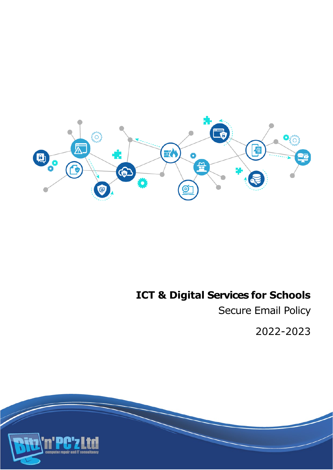

# **ICT & Digital Services for Schools**

Secure Email Policy

2022-2023

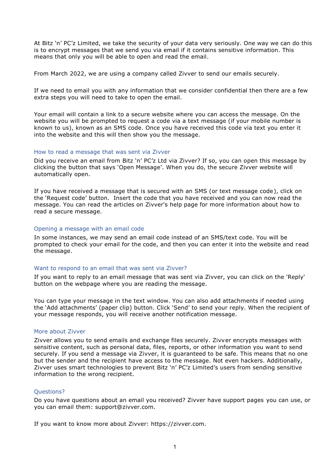At Bitz 'n' PC'z Limited, we take the security of your data very seriously. One way we can do this is to encrypt messages that we send you via email if it contains sensitive information. This means that only you will be able to open and read the email.

From March 2022, we are using a company called Zivver to send our emails securely.

If we need to email you with any information that we consider confidential then there are a few extra steps you will need to take to open the email.

Your email will contain a link to a secure website where you can access the message. On the website you will be prompted to request a code via a text message (if your mobile number is known to us), known as an SMS code. Once you have received this code via text you enter it into the website and this will then show you the message.

## How to read a message that was sent via Zivver

Did you receive an email from Bitz 'n' PC'z Ltd via Zivver? If so, you can open this message by clicking the button that says 'Open Message'. When you do, the secure Zivver website will automatically open.

If you have received a message that is secured with an SMS (or text message code), click on the 'Request code' button. Insert the code that you have received and you can now read the message. You can read the articles on Zivver's help page for more information about how to read a secure message.

## Opening a message with an email code

In some instances, we may send an email code instead of an SMS/text code. You will be prompted to check your email for the code, and then you can enter it into the website and read the message.

#### Want to respond to an email that was sent via Zivver?

If you want to reply to an email message that was sent via Zivver, you can click on the 'Reply' button on the webpage where you are reading the message.

You can type your message in the text window. You can also add attachments if needed using the 'Add attachments' (paper clip) button. Click 'Send' to send your reply. When the recipient of your message responds, you will receive another notification message.

# More about Zivver

Zivver allows you to send emails and exchange files securely. Zivver encrypts messages with sensitive content, such as personal data, files, reports, or other information you want to send securely. If you send a message via Zivver, it is guaranteed to be safe. This means that no one but the sender and the recipient have access to the message. Not even hackers. Additionally, Zivver uses smart technologies to prevent Bitz 'n' PC'z Limited's users from sending sensitive information to the wrong recipient.

# Questions?

Do you have questions about an email you received? Zivver have support pages you can use, or you can email them: support@zivver.com.

If you want to know more about Zivver: https://zivver.com.